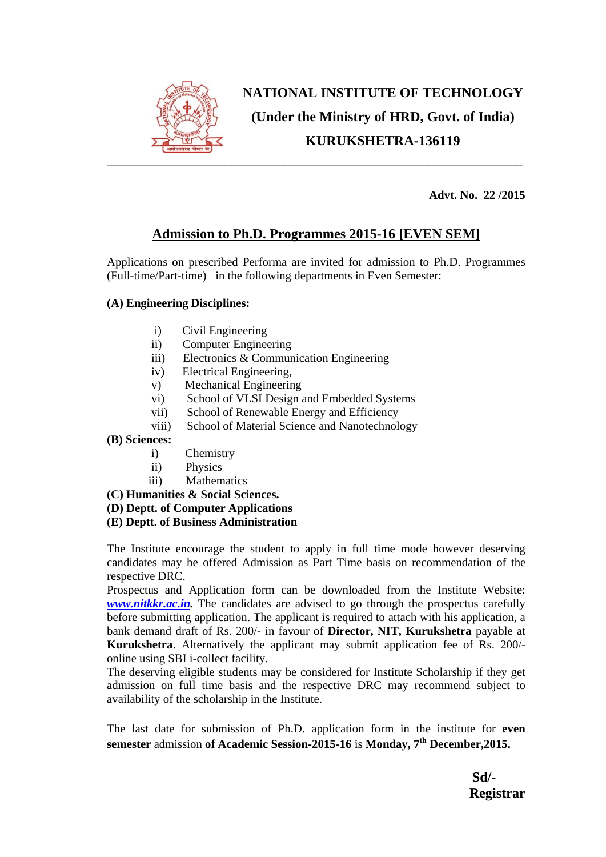

# **NATIONAL INSTITUTE OF TECHNOLOGY (Under the Ministry of HRD, Govt. of India) KURUKSHETRA-136119**

 **Advt. No. 22 /2015** 

# **Admission to Ph.D. Programmes 2015-16 [EVEN SEM]**

Applications on prescribed Performa are invited for admission to Ph.D. Programmes (Full-time/Part-time) in the following departments in Even Semester:

### **(A) Engineering Disciplines:**

- i) Civil Engineering
- ii) Computer Engineering
- iii) Electronics & Communication Engineering
- iv) Electrical Engineering,
- v) Mechanical Engineering
- vi) School of VLSI Design and Embedded Systems
- vii) School of Renewable Energy and Efficiency
- viii) School of Material Science and Nanotechnology

#### **(B) Sciences:**

- i) Chemistry
- ii) Physics
- iii) Mathematics

**(C) Humanities & Social Sciences.** 

- **(D) Deptt. of Computer Applications**
- **(E) Deptt. of Business Administration**

The Institute encourage the student to apply in full time mode however deserving candidates may be offered Admission as Part Time basis on recommendation of the respective DRC.

Prospectus and Application form can be downloaded from the Institute Website: *www.nitkkr.ac.in.* The candidates are advised to go through the prospectus carefully before submitting application. The applicant is required to attach with his application, a bank demand draft of Rs. 200/- in favour of **Director, NIT, Kurukshetra** payable at **Kurukshetra**. Alternatively the applicant may submit application fee of Rs. 200/ online using SBI i-collect facility.

The deserving eligible students may be considered for Institute Scholarship if they get admission on full time basis and the respective DRC may recommend subject to availability of the scholarship in the Institute.

The last date for submission of Ph.D. application form in the institute for **even semester** admission **of Academic Session-2015-16** is **Monday, 7th December,2015.** 

**Sd/- Registrar**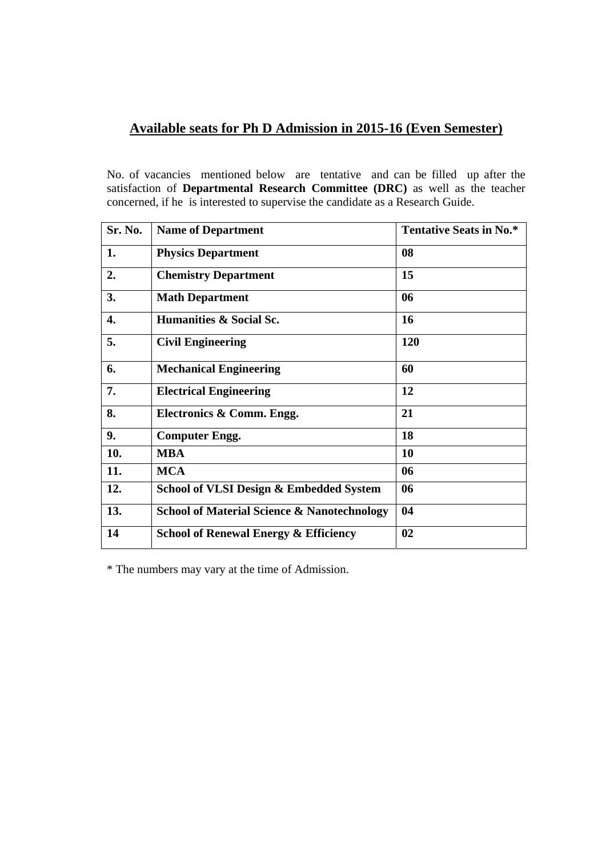## **Available seats for Ph D Admission in 2015-16 (Even Semester)**

No. of vacancies mentioned below are tentative and can be filled up after the satisfaction of **Departmental Research Committee (DRC)** as well as the teacher concerned, if he is interested to supervise the candidate as a Research Guide.

| Sr. No. | <b>Name of Department</b>                              | <b>Tentative Seats in No.*</b> |
|---------|--------------------------------------------------------|--------------------------------|
| 1.      | <b>Physics Department</b>                              | 08                             |
| 2.      | <b>Chemistry Department</b>                            | 15                             |
| 3.      | <b>Math Department</b>                                 | 06                             |
| 4.      | Humanities & Social Sc.                                | 16                             |
| 5.      | <b>Civil Engineering</b>                               | 120                            |
| 6.      | <b>Mechanical Engineering</b>                          | 60                             |
| 7.      | <b>Electrical Engineering</b>                          | 12                             |
| 8.      | Electronics & Comm. Engg.                              | 21                             |
| 9.      | <b>Computer Engg.</b>                                  | 18                             |
| 10.     | <b>MBA</b>                                             | 10                             |
| 11.     | <b>MCA</b>                                             | 06                             |
| 12.     | <b>School of VLSI Design &amp; Embedded System</b>     | 06                             |
| 13.     | <b>School of Material Science &amp; Nanotechnology</b> | 04                             |
| 14      | <b>School of Renewal Energy &amp; Efficiency</b>       | 02                             |

\* The numbers may vary at the time of Admission.